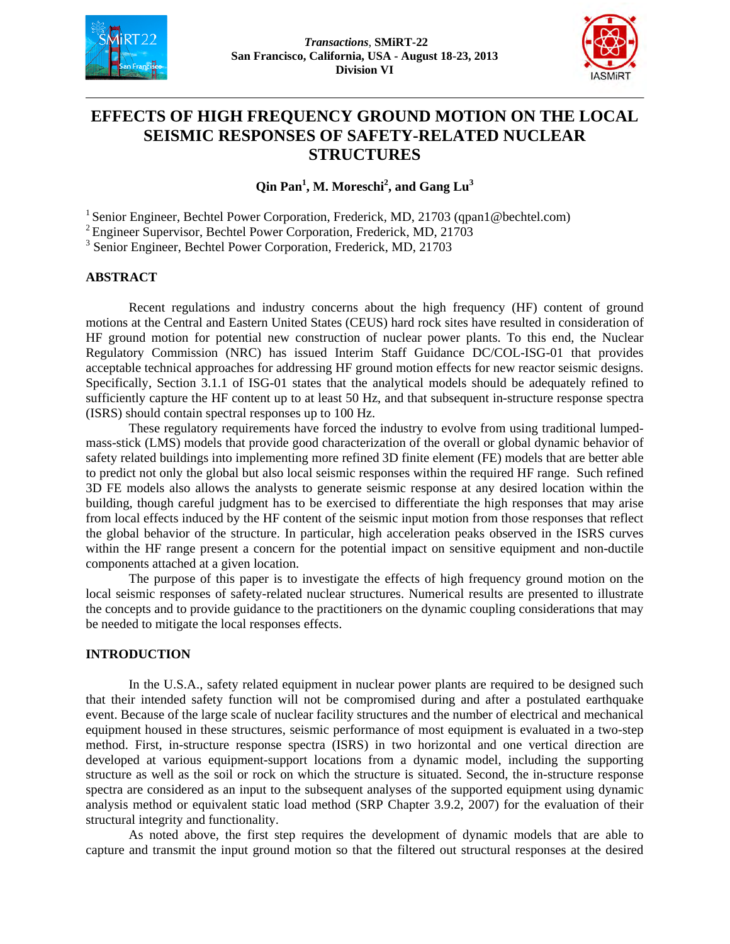



# **EFFECTS OF HIGH FREQUENCY GROUND MOTION ON THE LOCAL SEISMIC RESPONSES OF SAFETY-RELATED NUCLEAR STRUCTURES**

**Qin Pan<sup>1</sup> , M. Moreschi2 , and Gang Lu<sup>3</sup>**

<sup>1</sup> Senior Engineer, Bechtel Power Corporation, Frederick, MD, 21703 (qpan1@bechtel.com)

2 Engineer Supervisor, Bechtel Power Corporation, Frederick, MD, 21703

<sup>3</sup> Senior Engineer, Bechtel Power Corporation, Frederick, MD, 21703

### **ABSTRACT**

Recent regulations and industry concerns about the high frequency (HF) content of ground motions at the Central and Eastern United States (CEUS) hard rock sites have resulted in consideration of HF ground motion for potential new construction of nuclear power plants. To this end, the Nuclear Regulatory Commission (NRC) has issued Interim Staff Guidance DC/COL-ISG-01 that provides acceptable technical approaches for addressing HF ground motion effects for new reactor seismic designs. Specifically, Section 3.1.1 of ISG-01 states that the analytical models should be adequately refined to sufficiently capture the HF content up to at least 50 Hz, and that subsequent in-structure response spectra (ISRS) should contain spectral responses up to 100 Hz.

These regulatory requirements have forced the industry to evolve from using traditional lumpedmass-stick (LMS) models that provide good characterization of the overall or global dynamic behavior of safety related buildings into implementing more refined 3D finite element (FE) models that are better able to predict not only the global but also local seismic responses within the required HF range. Such refined 3D FE models also allows the analysts to generate seismic response at any desired location within the building, though careful judgment has to be exercised to differentiate the high responses that may arise from local effects induced by the HF content of the seismic input motion from those responses that reflect the global behavior of the structure. In particular, high acceleration peaks observed in the ISRS curves within the HF range present a concern for the potential impact on sensitive equipment and non-ductile components attached at a given location.

The purpose of this paper is to investigate the effects of high frequency ground motion on the local seismic responses of safety-related nuclear structures. Numerical results are presented to illustrate the concepts and to provide guidance to the practitioners on the dynamic coupling considerations that may be needed to mitigate the local responses effects.

### **INTRODUCTION**

In the U.S.A., safety related equipment in nuclear power plants are required to be designed such that their intended safety function will not be compromised during and after a postulated earthquake event. Because of the large scale of nuclear facility structures and the number of electrical and mechanical equipment housed in these structures, seismic performance of most equipment is evaluated in a two-step method. First, in-structure response spectra (ISRS) in two horizontal and one vertical direction are developed at various equipment-support locations from a dynamic model, including the supporting structure as well as the soil or rock on which the structure is situated. Second, the in-structure response spectra are considered as an input to the subsequent analyses of the supported equipment using dynamic analysis method or equivalent static load method (SRP Chapter 3.9.2, 2007) for the evaluation of their structural integrity and functionality.

As noted above, the first step requires the development of dynamic models that are able to capture and transmit the input ground motion so that the filtered out structural responses at the desired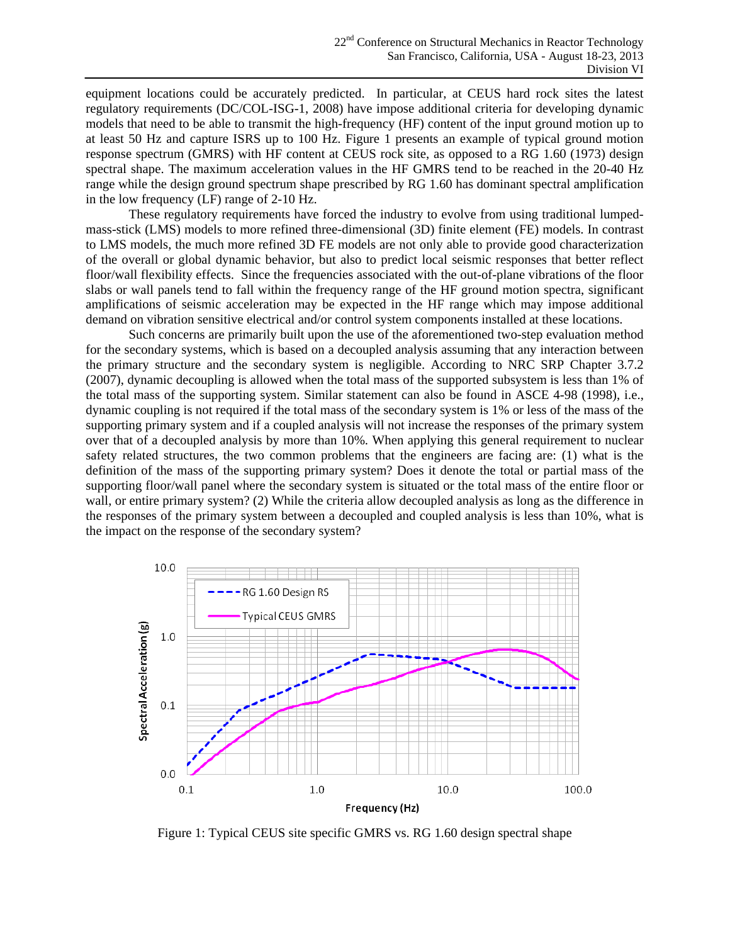equipment locations could be accurately predicted. In particular, at CEUS hard rock sites the latest regulatory requirements (DC/COL-ISG-1, 2008) have impose additional criteria for developing dynamic models that need to be able to transmit the high-frequency (HF) content of the input ground motion up to at least 50 Hz and capture ISRS up to 100 Hz. Figure 1 presents an example of typical ground motion response spectrum (GMRS) with HF content at CEUS rock site, as opposed to a RG 1.60 (1973) design spectral shape. The maximum acceleration values in the HF GMRS tend to be reached in the 20-40 Hz range while the design ground spectrum shape prescribed by RG 1.60 has dominant spectral amplification in the low frequency (LF) range of 2-10 Hz.

These regulatory requirements have forced the industry to evolve from using traditional lumpedmass-stick (LMS) models to more refined three-dimensional (3D) finite element (FE) models. In contrast to LMS models, the much more refined 3D FE models are not only able to provide good characterization of the overall or global dynamic behavior, but also to predict local seismic responses that better reflect floor/wall flexibility effects. Since the frequencies associated with the out-of-plane vibrations of the floor slabs or wall panels tend to fall within the frequency range of the HF ground motion spectra, significant amplifications of seismic acceleration may be expected in the HF range which may impose additional demand on vibration sensitive electrical and/or control system components installed at these locations.

Such concerns are primarily built upon the use of the aforementioned two-step evaluation method for the secondary systems, which is based on a decoupled analysis assuming that any interaction between the primary structure and the secondary system is negligible. According to NRC SRP Chapter 3.7.2 (2007), dynamic decoupling is allowed when the total mass of the supported subsystem is less than 1% of the total mass of the supporting system. Similar statement can also be found in ASCE 4-98 (1998), i.e., dynamic coupling is not required if the total mass of the secondary system is 1% or less of the mass of the supporting primary system and if a coupled analysis will not increase the responses of the primary system over that of a decoupled analysis by more than 10%. When applying this general requirement to nuclear safety related structures, the two common problems that the engineers are facing are: (1) what is the definition of the mass of the supporting primary system? Does it denote the total or partial mass of the supporting floor/wall panel where the secondary system is situated or the total mass of the entire floor or wall, or entire primary system? (2) While the criteria allow decoupled analysis as long as the difference in the responses of the primary system between a decoupled and coupled analysis is less than 10%, what is the impact on the response of the secondary system?



Figure 1: Typical CEUS site specific GMRS vs. RG 1.60 design spectral shape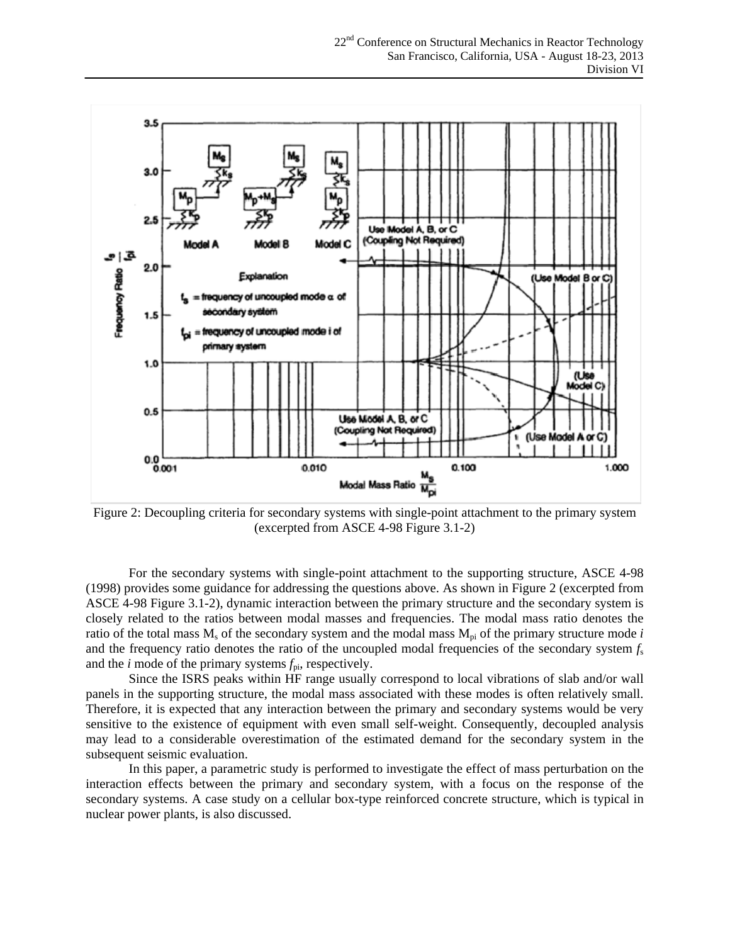

Figure 2: Decoupling criteria for secondary systems with single-point attachment to the primary system (excerpted from ASCE 4-98 Figure 3.1-2)

For the secondary systems with single-point attachment to the supporting structure, ASCE 4-98 (1998) provides some guidance for addressing the questions above. As shown in Figure 2 (excerpted from ASCE 4-98 Figure 3.1-2), dynamic interaction between the primary structure and the secondary system is closely related to the ratios between modal masses and frequencies. The modal mass ratio denotes the ratio of the total mass  $M_s$  of the secondary system and the modal mass  $M_{pi}$  of the primary structure mode *i* and the frequency ratio denotes the ratio of the uncoupled modal frequencies of the secondary system  $f_s$ and the *i* mode of the primary systems  $f_{pi}$ , respectively.

Since the ISRS peaks within HF range usually correspond to local vibrations of slab and/or wall panels in the supporting structure, the modal mass associated with these modes is often relatively small. Therefore, it is expected that any interaction between the primary and secondary systems would be very sensitive to the existence of equipment with even small self-weight. Consequently, decoupled analysis may lead to a considerable overestimation of the estimated demand for the secondary system in the subsequent seismic evaluation.

In this paper, a parametric study is performed to investigate the effect of mass perturbation on the interaction effects between the primary and secondary system, with a focus on the response of the secondary systems. A case study on a cellular box-type reinforced concrete structure, which is typical in nuclear power plants, is also discussed.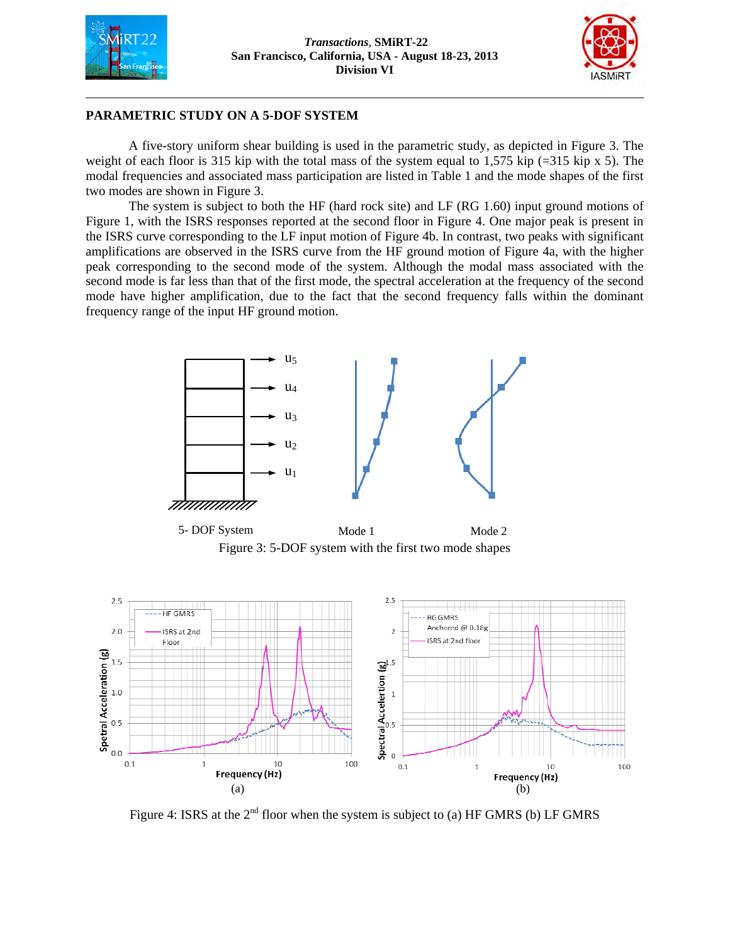



## **PARAMETRIC STUDY ON A 5-DOF SYSTEM**

A five-story uniform shear building is used in the parametric study, as depicted in Figure 3. The weight of each floor is 315 kip with the total mass of the system equal to 1,575 kip  $(=315 \text{ kip x } 5)$ . The modal frequencies and associated mass participation are listed in Table 1 and the mode shapes of the first two modes are shown in Figure 3.

The system is subject to both the HF (hard rock site) and LF (RG 1.60) input ground motions of Figure 1, with the ISRS responses reported at the second floor in Figure 4. One major peak is present in the ISRS curve corresponding to the LF input motion of Figure 4b. In contrast, two peaks with significant amplifications are observed in the ISRS curve from the HF ground motion of Figure 4a, with the higher peak corresponding to the second mode of the system. Although the modal mass associated with the second mode is far less than that of the first mode, the spectral acceleration at the frequency of the second mode have higher amplification, due to the fact that the second frequency falls within the dominant frequency range of the input HF ground motion.



Figure 3: 5-DOF system with the first two mode shapes 5- DOF System Mode 1 Mode 2



Figure 4: ISRS at the  $2<sup>nd</sup>$  floor when the system is subject to (a) HF GMRS (b) LF GMRS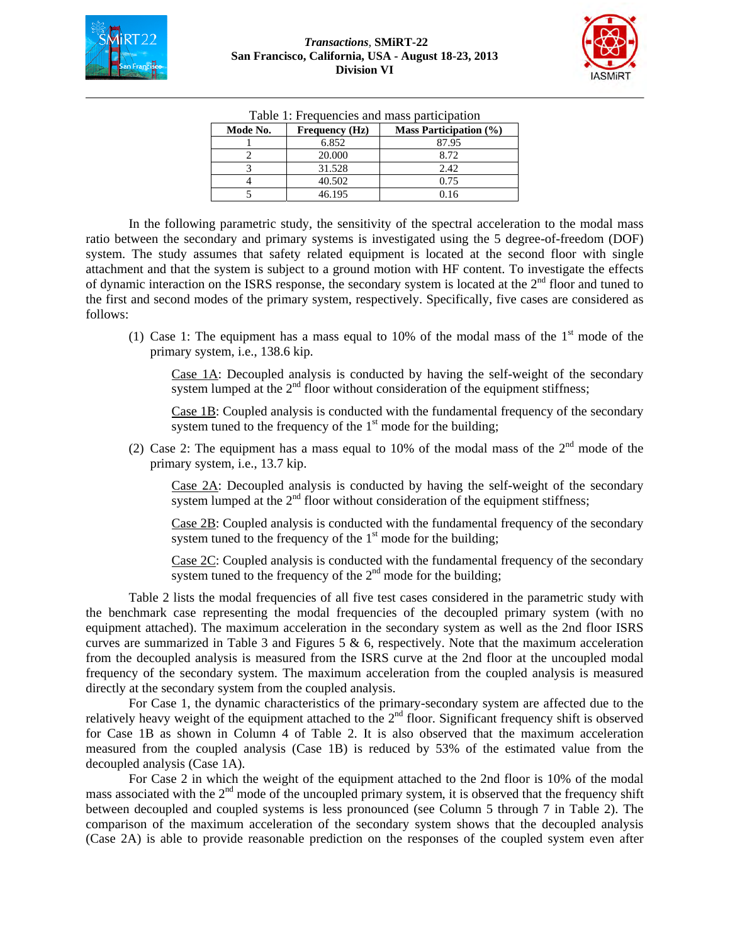

| I able 1. Frequencies and mass participation |                       |                            |  |  |
|----------------------------------------------|-----------------------|----------------------------|--|--|
| Mode No.                                     | <b>Frequency</b> (Hz) | Mass Participation $(\% )$ |  |  |
|                                              | 6.852                 | 87.95                      |  |  |
|                                              | 20,000                | 8.72                       |  |  |
|                                              | 31.528                | 2.42.                      |  |  |
|                                              | 40.502                | 0.75                       |  |  |
|                                              | 46.195                | 0.16                       |  |  |

Table 1: Frequencies and mass participation

In the following parametric study, the sensitivity of the spectral acceleration to the modal mass ratio between the secondary and primary systems is investigated using the 5 degree-of-freedom (DOF) system. The study assumes that safety related equipment is located at the second floor with single attachment and that the system is subject to a ground motion with HF content. To investigate the effects of dynamic interaction on the ISRS response, the secondary system is located at the  $2<sup>nd</sup>$  floor and tuned to the first and second modes of the primary system, respectively. Specifically, five cases are considered as follows:

(1) Case 1: The equipment has a mass equal to 10% of the modal mass of the  $1<sup>st</sup>$  mode of the primary system, i.e., 138.6 kip.

Case 1A: Decoupled analysis is conducted by having the self-weight of the secondary system lumped at the  $2<sup>nd</sup>$  floor without consideration of the equipment stiffness;

Case 1B: Coupled analysis is conducted with the fundamental frequency of the secondary system tuned to the frequency of the 1<sup>st</sup> mode for the building;

(2) Case 2: The equipment has a mass equal to 10% of the modal mass of the  $2<sup>nd</sup>$  mode of the primary system, i.e., 13.7 kip.

Case 2A: Decoupled analysis is conducted by having the self-weight of the secondary system lumped at the  $2<sup>nd</sup>$  floor without consideration of the equipment stiffness;

Case 2B: Coupled analysis is conducted with the fundamental frequency of the secondary system tuned to the frequency of the  $1<sup>st</sup>$  mode for the building;

Case 2C: Coupled analysis is conducted with the fundamental frequency of the secondary system tuned to the frequency of the  $2<sup>nd</sup>$  mode for the building;

Table 2 lists the modal frequencies of all five test cases considered in the parametric study with the benchmark case representing the modal frequencies of the decoupled primary system (with no equipment attached). The maximum acceleration in the secondary system as well as the 2nd floor ISRS curves are summarized in Table 3 and Figures 5  $\&$  6, respectively. Note that the maximum acceleration from the decoupled analysis is measured from the ISRS curve at the 2nd floor at the uncoupled modal frequency of the secondary system. The maximum acceleration from the coupled analysis is measured directly at the secondary system from the coupled analysis.

For Case 1, the dynamic characteristics of the primary-secondary system are affected due to the relatively heavy weight of the equipment attached to the  $2<sup>nd</sup>$  floor. Significant frequency shift is observed for Case 1B as shown in Column 4 of Table 2. It is also observed that the maximum acceleration measured from the coupled analysis (Case 1B) is reduced by 53% of the estimated value from the decoupled analysis (Case 1A).

For Case 2 in which the weight of the equipment attached to the 2nd floor is 10% of the modal mass associated with the 2<sup>nd</sup> mode of the uncoupled primary system, it is observed that the frequency shift between decoupled and coupled systems is less pronounced (see Column 5 through 7 in Table 2). The comparison of the maximum acceleration of the secondary system shows that the decoupled analysis (Case 2A) is able to provide reasonable prediction on the responses of the coupled system even after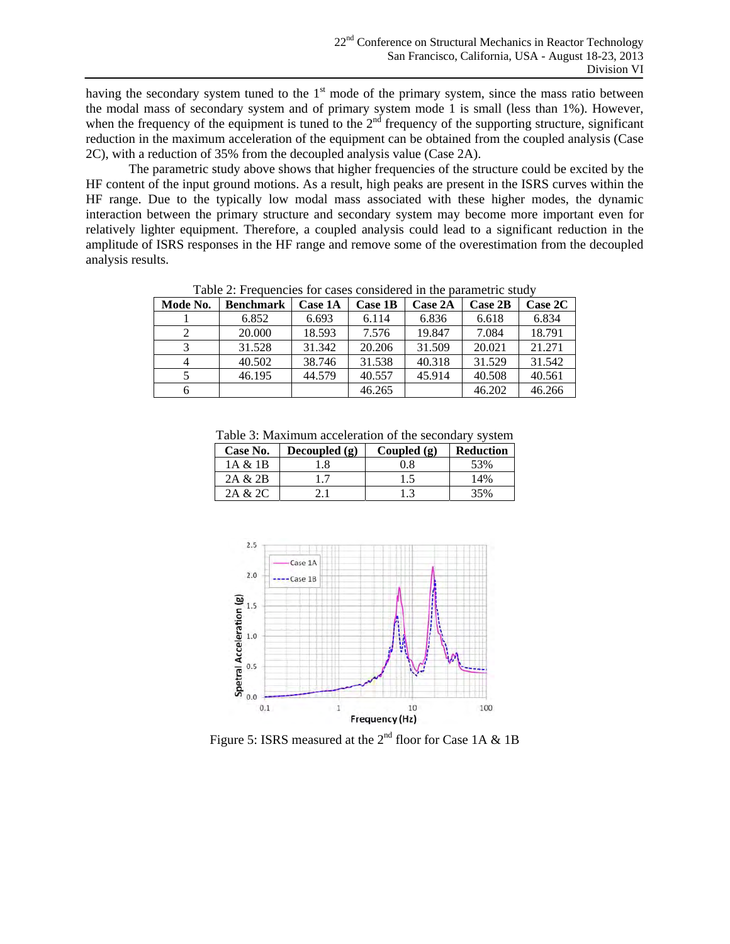having the secondary system tuned to the  $1<sup>st</sup>$  mode of the primary system, since the mass ratio between the modal mass of secondary system and of primary system mode 1 is small (less than 1%). However, when the frequency of the equipment is tuned to the  $2<sup>nd</sup>$  frequency of the supporting structure, significant reduction in the maximum acceleration of the equipment can be obtained from the coupled analysis (Case 2C), with a reduction of 35% from the decoupled analysis value (Case 2A).

The parametric study above shows that higher frequencies of the structure could be excited by the HF content of the input ground motions. As a result, high peaks are present in the ISRS curves within the HF range. Due to the typically low modal mass associated with these higher modes, the dynamic interaction between the primary structure and secondary system may become more important even for relatively lighter equipment. Therefore, a coupled analysis could lead to a significant reduction in the amplitude of ISRS responses in the HF range and remove some of the overestimation from the decoupled analysis results.

| Table 2. I requencies for eases considered in the barametric study |                  |                |         |                |         |                |
|--------------------------------------------------------------------|------------------|----------------|---------|----------------|---------|----------------|
| Mode No.                                                           | <b>Benchmark</b> | <b>Case 1A</b> | Case 1B | <b>Case 2A</b> | Case 2B | <b>Case 2C</b> |
|                                                                    | 6.852            | 6.693          | 6.114   | 6.836          | 6.618   | 6.834          |
|                                                                    | 20,000           | 18.593         | 7.576   | 19.847         | 7.084   | 18.791         |
|                                                                    | 31.528           | 31.342         | 20.206  | 31.509         | 20.021  | 21.271         |
|                                                                    | 40.502           | 38.746         | 31.538  | 40.318         | 31.529  | 31.542         |
|                                                                    | 46.195           | 44.579         | 40.557  | 45.914         | 40.508  | 40.561         |
|                                                                    |                  |                | 46.265  |                | 46.202  | 46.266         |

Table 2: Frequencies for cases considered in the parametric study

Table 3: Maximum acceleration of the secondary system

| Tuoto oi Industriumii uoociotuttoit of ulo soosituut<br>. .<br>, , , , , , , , |                 |               |                  |  |
|--------------------------------------------------------------------------------|-----------------|---------------|------------------|--|
| Case No.                                                                       | Decoupled $(g)$ | Coupled $(g)$ | <b>Reduction</b> |  |
| 1A & 1B                                                                        | .8              | 0.8           | 53%              |  |
| 2A & 2B                                                                        |                 | 1.5           | 14%              |  |
| 2A & 2C                                                                        |                 | $^{1.3}$      | 35%              |  |



Figure 5: ISRS measured at the  $2<sup>nd</sup>$  floor for Case 1A & 1B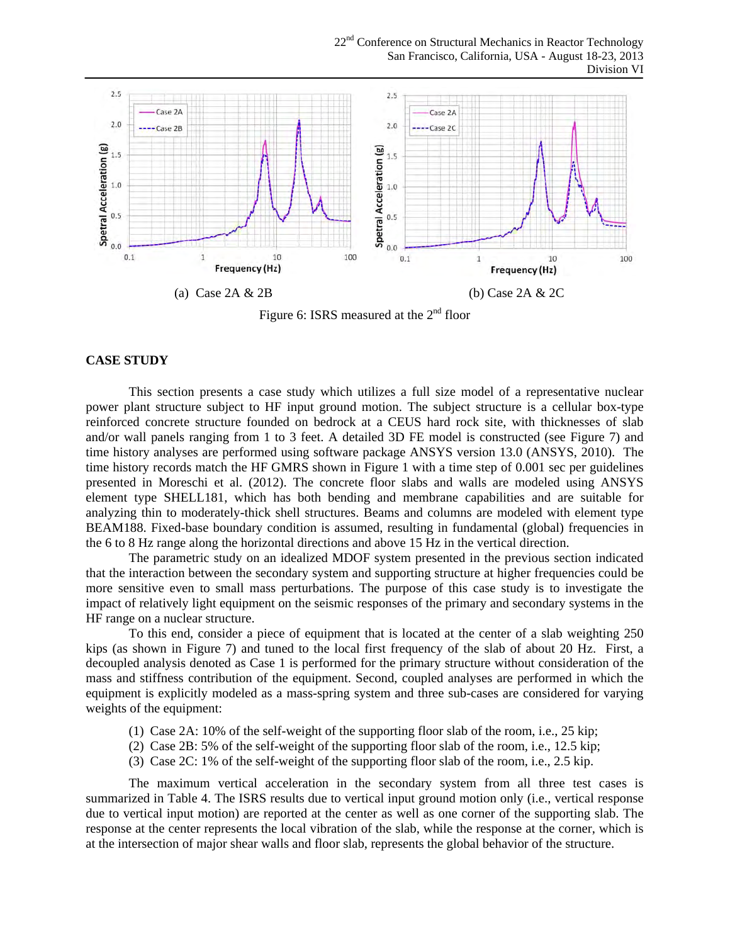22<sup>nd</sup> Conference on Structural Mechanics in Reactor Technology San Francisco, California, USA - August 18-23, 2013 Division VI



Figure 6: ISRS measured at the  $2<sup>nd</sup>$  floor

## **CASE STUDY**

This section presents a case study which utilizes a full size model of a representative nuclear power plant structure subject to HF input ground motion. The subject structure is a cellular box-type reinforced concrete structure founded on bedrock at a CEUS hard rock site, with thicknesses of slab and/or wall panels ranging from 1 to 3 feet. A detailed 3D FE model is constructed (see Figure 7) and time history analyses are performed using software package ANSYS version 13.0 (ANSYS, 2010). The time history records match the HF GMRS shown in Figure 1 with a time step of 0.001 sec per guidelines presented in Moreschi et al. (2012). The concrete floor slabs and walls are modeled using ANSYS element type SHELL181, which has both bending and membrane capabilities and are suitable for analyzing thin to moderately-thick shell structures. Beams and columns are modeled with element type BEAM188. Fixed-base boundary condition is assumed, resulting in fundamental (global) frequencies in the 6 to 8 Hz range along the horizontal directions and above 15 Hz in the vertical direction.

The parametric study on an idealized MDOF system presented in the previous section indicated that the interaction between the secondary system and supporting structure at higher frequencies could be more sensitive even to small mass perturbations. The purpose of this case study is to investigate the impact of relatively light equipment on the seismic responses of the primary and secondary systems in the HF range on a nuclear structure.

To this end, consider a piece of equipment that is located at the center of a slab weighting 250 kips (as shown in Figure 7) and tuned to the local first frequency of the slab of about 20 Hz. First, a decoupled analysis denoted as Case 1 is performed for the primary structure without consideration of the mass and stiffness contribution of the equipment. Second, coupled analyses are performed in which the equipment is explicitly modeled as a mass-spring system and three sub-cases are considered for varying weights of the equipment:

- (1) Case 2A: 10% of the self-weight of the supporting floor slab of the room, i.e., 25 kip;
- (2) Case 2B: 5% of the self-weight of the supporting floor slab of the room, i.e., 12.5 kip;
- (3) Case 2C: 1% of the self-weight of the supporting floor slab of the room, i.e., 2.5 kip.

The maximum vertical acceleration in the secondary system from all three test cases is summarized in Table 4. The ISRS results due to vertical input ground motion only (i.e., vertical response due to vertical input motion) are reported at the center as well as one corner of the supporting slab. The response at the center represents the local vibration of the slab, while the response at the corner, which is at the intersection of major shear walls and floor slab, represents the global behavior of the structure.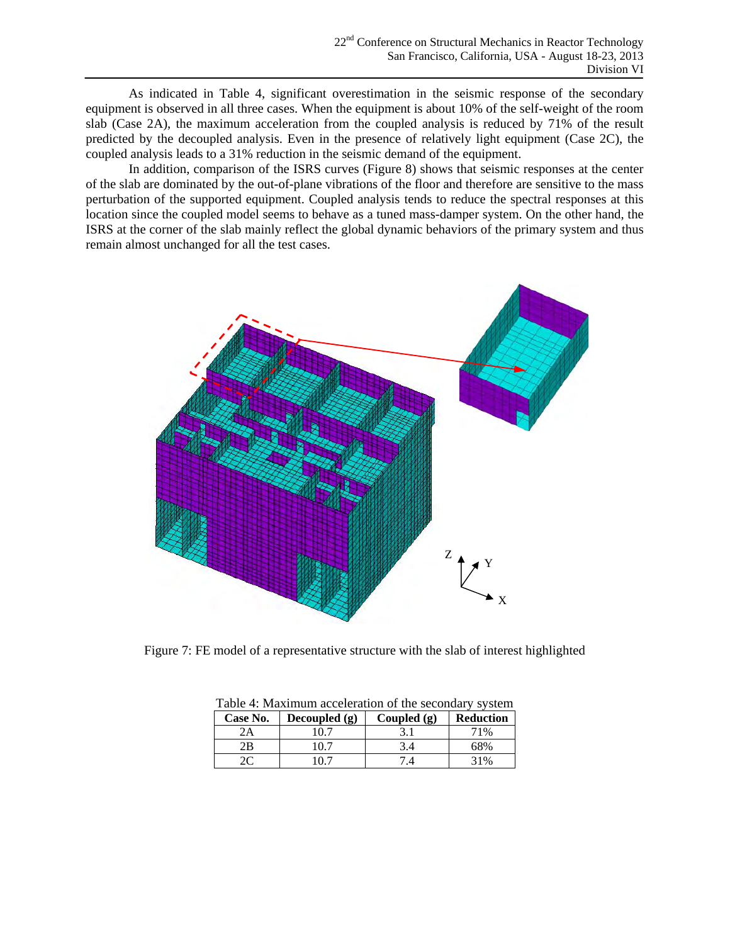As indicated in Table 4, significant overestimation in the seismic response of the secondary equipment is observed in all three cases. When the equipment is about 10% of the self-weight of the room slab (Case 2A), the maximum acceleration from the coupled analysis is reduced by 71% of the result predicted by the decoupled analysis. Even in the presence of relatively light equipment (Case 2C), the coupled analysis leads to a 31% reduction in the seismic demand of the equipment.

In addition, comparison of the ISRS curves (Figure 8) shows that seismic responses at the center of the slab are dominated by the out-of-plane vibrations of the floor and therefore are sensitive to the mass perturbation of the supported equipment. Coupled analysis tends to reduce the spectral responses at this location since the coupled model seems to behave as a tuned mass-damper system. On the other hand, the ISRS at the corner of the slab mainly reflect the global dynamic behaviors of the primary system and thus remain almost unchanged for all the test cases.



Figure 7: FE model of a representative structure with the slab of interest highlighted

| Table 4: Maximum acceleration of the secondary system |                 |               |                  |  |  |
|-------------------------------------------------------|-----------------|---------------|------------------|--|--|
| Case No.                                              | Decoupled $(g)$ | Coupled $(g)$ | <b>Reduction</b> |  |  |
| 2Α                                                    | 10.7            |               | 71%              |  |  |
| 2Β                                                    | 10.7            | 3.4           | 68%              |  |  |
|                                                       | 10 7            | 14            | 31%              |  |  |

Table 4: Maximum acceleration of the secondary system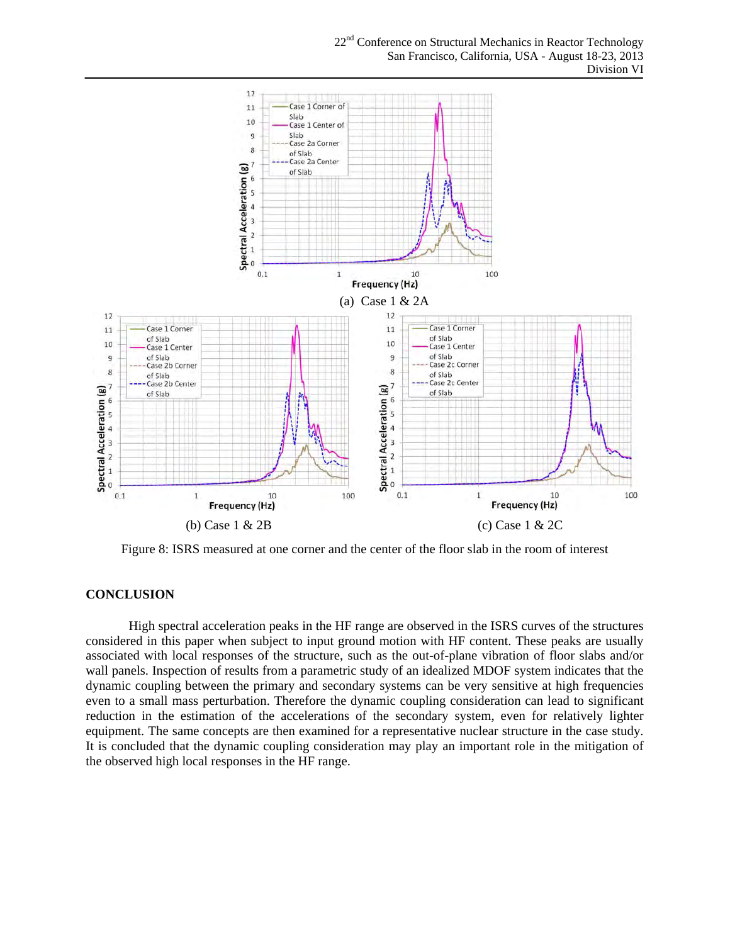

Figure 8: ISRS measured at one corner and the center of the floor slab in the room of interest

### **CONCLUSION**

High spectral acceleration peaks in the HF range are observed in the ISRS curves of the structures considered in this paper when subject to input ground motion with HF content. These peaks are usually associated with local responses of the structure, such as the out-of-plane vibration of floor slabs and/or wall panels. Inspection of results from a parametric study of an idealized MDOF system indicates that the dynamic coupling between the primary and secondary systems can be very sensitive at high frequencies even to a small mass perturbation. Therefore the dynamic coupling consideration can lead to significant reduction in the estimation of the accelerations of the secondary system, even for relatively lighter equipment. The same concepts are then examined for a representative nuclear structure in the case study. It is concluded that the dynamic coupling consideration may play an important role in the mitigation of the observed high local responses in the HF range.